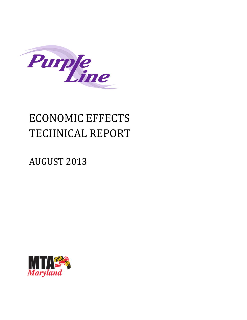

# ECONOMIC EFFECTS TECHNICAL REPORT

## **AUGUST 2013**

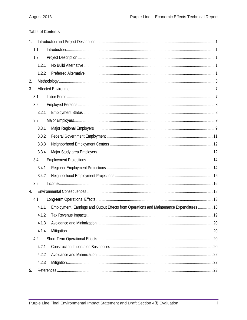#### **Table of Contents**

| 1. |       |                                                                                         |  |
|----|-------|-----------------------------------------------------------------------------------------|--|
|    | 1.1   |                                                                                         |  |
|    | 1.2   |                                                                                         |  |
|    | 1.2.1 |                                                                                         |  |
|    | 1.2.2 |                                                                                         |  |
| 2. |       |                                                                                         |  |
| 3. |       |                                                                                         |  |
|    | 3.1   |                                                                                         |  |
|    | 3.2   |                                                                                         |  |
|    | 3.2.1 |                                                                                         |  |
|    | 3.3   |                                                                                         |  |
|    | 3.3.1 |                                                                                         |  |
|    | 3.3.2 |                                                                                         |  |
|    | 3.3.3 |                                                                                         |  |
|    | 3.3.4 |                                                                                         |  |
|    | 3.4   |                                                                                         |  |
|    | 3.4.1 |                                                                                         |  |
|    | 3.4.2 |                                                                                         |  |
|    | 3.5   |                                                                                         |  |
| 4. |       |                                                                                         |  |
|    | 4.1   |                                                                                         |  |
|    | 4.1.1 | Employment, Earnings and Output Effects from Operations and Maintenance Expenditures 18 |  |
|    | 4.1.2 |                                                                                         |  |
|    | 4.1.3 |                                                                                         |  |
|    | 4.1.4 |                                                                                         |  |
|    | 4.2   |                                                                                         |  |
|    | 4.2.1 |                                                                                         |  |
|    | 4.2.2 |                                                                                         |  |
|    | 4.2.3 |                                                                                         |  |
| 5. |       |                                                                                         |  |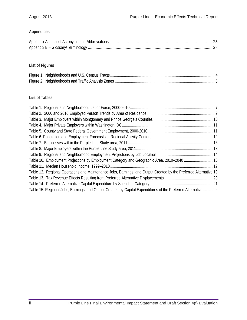### **Appendices**

### **List of Figures**

#### **List of Tables**

| Table 10. Employment Projections by Employment Category and Geographic Area, 2010-2040 15                        |  |
|------------------------------------------------------------------------------------------------------------------|--|
|                                                                                                                  |  |
| Table 12. Regional Operations and Maintenance Jobs, Earnings, and Output Created by the Preferred Alternative 19 |  |
|                                                                                                                  |  |
|                                                                                                                  |  |
| Table 15. Regional Jobs, Earnings, and Output Created by Capital Expenditures of the Preferred Alternative 22    |  |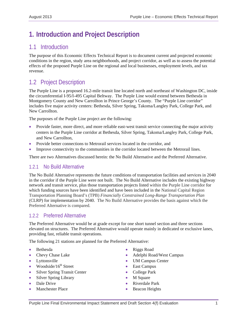## **1. Introduction and Project Description**

## 1.1 Introduction

The purpose of this Economic Effects Technical Report is to document current and projected economic conditions in the region, study area neighborhoods, and project corridor, as well as to assess the potential effects of the proposed Purple Line on the regional and local businesses, employment levels, and tax revenue.

## 1.2 Project Description

The Purple Line is a proposed 16.2-mile transit line located north and northeast of Washington DC, inside the circumferential I-95/I-495 Capital Beltway. The Purple Line would extend between Bethesda in Montgomery County and New Carrollton in Prince George's County. The "Purple Line corridor" includes five major activity centers: Bethesda, Silver Spring, Takoma/Langley Park, College Park, and New Carrollton.

The purposes of the Purple Line project are the following:

- Provide faster, more direct, and more reliable east-west transit service connecting the major activity centers in the Purple Line corridor at Bethesda, Silver Spring, Takoma/Langley Park, College Park, and New Carrollton,
- Provide better connections to Metrorail services located in the corridor, and
- Improve connectivity to the communities in the corridor located between the Metrorail lines.

There are two Alternatives discussed herein: the No Build Alternative and the Preferred Alternative.

### 1.2.1 No Build Alternative

The No Build Alternative represents the future conditions of transportation facilities and services in 2040 in the corridor if the Purple Line were not built. The No Build Alternative includes the existing highway network and transit service, plus those transportation projects listed within the Purple Line corridor for which funding sources have been identified and have been included in the National Capital Region Transportation Planning Board's (TPB) *Financially Constrained Long-Range Transportation Plan* (CLRP) for implementation by 2040. The No Build Alternative provides the basis against which the Preferred Alternative is compared.

## 1.2.2 Preferred Alternative

The Preferred Alternative would be at grade except for one short tunnel section and three sections elevated on structures. The Preferred Alternative would operate mainly in dedicated or exclusive lanes, providing fast, reliable transit operations.

The following 21 stations are planned for the Preferred Alternative:

- Bethesda
- Chevy Chase Lake
- Lyttonsville
- Woodside/ $16^{th}$  Street
- Silver Spring Transit Center
- Silver Spring Library
- Dale Drive
- Manchester Place
- Riggs Road
- Adelphi Road/West Campus
- UM Campus Center
- East Campus
- College Park
- M Square
- Riverdale Park
- Beacon Heights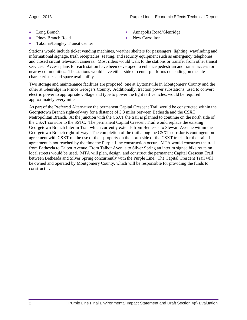- Long Branch
- Piney Branch Road
- Takoma/Langley Transit Center
- Annapolis Road/Glenridge
- New Carrollton

Stations would include ticket vending machines, weather shelters for passengers, lighting, wayfinding and informational signage, trash receptacles, seating, and security equipment such as emergency telephones and closed circuit television cameras. Most riders would walk to the stations or transfer from other transit services. Access plans for each station have been developed to enhance pedestrian and transit access for nearby communities. The stations would have either side or center platforms depending on the site characteristics and space availability.

Two storage and maintenance facilities are proposed: one at Lyttonsville in Montgomery County and the other at Glenridge in Prince George's County. Additionally, traction power substations, used to convert electric power to appropriate voltage and type to power the light rail vehicles, would be required approximately every mile.

As part of the Preferred Alternative the permanent Capital Crescent Trail would be constructed within the Georgetown Branch right-of-way for a distance of 3.3 miles between Bethesda and the CSXT Metropolitan Branch. At the junction with the CSXT the trail is planned to continue on the north side of the CSXT corridor to the SSTC. The permanent Capital Crescent Trail would replace the existing Georgetown Branch Interim Trail which currently extends from Bethesda to Stewart Avenue within the Georgetown Branch right-of-way. The completion of the trail along the CSXT corridor is contingent on agreement with CSXT on the use of their property on the north side of the CSXT tracks for the trail. If agreement is not reached by the time the Purple Line construction occurs, MTA would construct the trail from Bethesda to Talbot Avenue. From Talbot Avenue to Silver Spring an interim signed bike route on local streets would be used. MTA will plan, design, and construct the permanent Capital Crescent Trail between Bethesda and Silver Spring concurrently with the Purple Line. The Capital Crescent Trail will be owned and operated by Montgomery County, which will be responsible for providing the funds to construct it.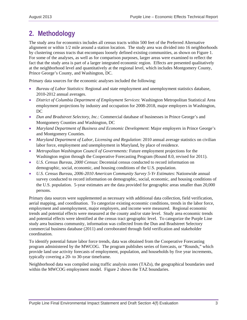## **2. Methodology**

The study area for economics includes all census tracts within 500 feet of the Preferred Alternative alignment or within 1/2 mile around a station location. The study area was divided into 16 neighborhoods by clustering census tracts that encompass loosely defined existing communities, as shown on Figure 1. For some of the analyses, as well as for comparison purposes, larger areas were examined to reflect the fact that the study area is part of a larger integrated economic region. Effects are presented qualitatively at the neighborhood level and quantitatively at the regional level, which includes Montgomery County, Prince George's County, and Washington, DC.

Primary data sources for the economic analyses included the following:

- *Bureau of Labor Statistics*: Regional and state employment and unemployment statistics database, 2010-2012 annual averages.
- *District of Columbia Department of Employment Services*: Washington Metropolitan Statistical Area employment projections by industry and occupation for 2008-2018, major employers in Washington, DC
- *Dun and Bradstreet Selectory, Inc.*: Commercial database of businesses in Prince George's and Montgomery Counties and Washington, DC
- *Maryland Department of Business and Economic Development*: Major employers in Prince George's and Montgomery Counties.
- *Maryland Department of Labor, Licensing and Regulation*: 2010 annual average statistics on civilian labor force, employment and unemployment in Maryland, by place of residence.
- *Metropolitan Washington Council of Governments:* Future employment projections for the Washington region through the Cooperative Forecasting Program (Round 8.0, revised for 2011).
- *U.S. Census Bureau, 2000 Census*: Decennial census conducted to record information on demographic, social, economic, and housing conditions of the U.S. population.
- *U.S. Census Bureau, 2006-2010 American Community Survey 5-Yr Estimates*: Nationwide annual survey conducted to record information on demographic, social, economic, and housing conditions of the U.S. population. 5-year estimates are the data provided for geographic areas smaller than 20,000 persons.

Primary data sources were supplemented as necessary with additional data collection, field verification, aerial mapping, and coordination. To categorize existing economic conditions, trends in the labor force, employment and unemployment, major employers, and income were measured. Regional economic trends and potential effects were measured at the county and/or state level. Study area economic trends and potential effects were identified at the census tract geographic level. To categorize the Purple Line study area business community, information was collected from the Dun and Bradstreet Selectory commercial business database (2011) and corroborated through field verification and stakeholder coordination.

To identify potential future labor force trends, data was obtained from the Cooperative Forecasting program administered by the MWCOG. The program publishes series of forecasts, or "Rounds," which provide land use activity forecasts of employment, population, and households by five year increments, typically covering a 20- to 30-year timeframe.

Neighborhood data was compiled using traffic analysis zones (TAZs), the geographical boundaries used within the MWCOG employment model. Figure 2 shows the TAZ boundaries.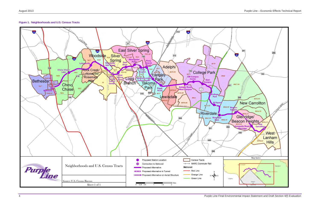



Purple Line Final Environmental Impact Statement and Draft Section 4(f) Evaluation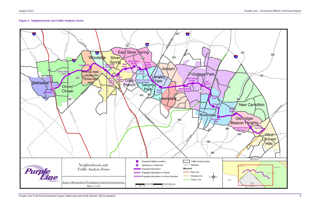#### **Figure 2. Neighborhoods and Traffic Analysis Zones**

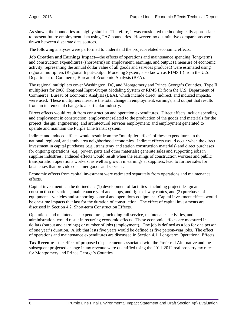As shown, the boundaries are highly similar. Therefore, it was considered methodologically appropriate to present future employment data using TAZ boundaries. However, no quantitative comparisons were drawn between disparate data sources.

The following analyses were performed to understand the project-related economic effects:

**Job Creation and Earnings Impact**—the effects of operations and maintenance spending (long-term) and construction expenditures (short-term) on employment, earnings, and output (a measure of economic activity, representing the annual dollar value of all goods and services produced) were estimated using regional multipliers (Regional Input-Output Modeling System, also known as RIMS II) from the U.S. Department of Commerce, Bureau of Economic Analysis (BEA).

The regional multipliers cover Washington, DC, and Montgomery and Prince George's Counties. Type II multipliers for 2008 (Regional Input-Output Modeling System or RIMS II) from the U.S. Department of Commerce, Bureau of Economic Analysis (BEA), which include direct, indirect, and induced impacts, were used. These multipliers measure the total change in employment, earnings, and output that results from an incremental change to a particular industry.

Direct effects would result from construction and operation expenditures. Direct effects include spending and employment in construction; employment related to the production of the goods and materials for the project; design, engineering, and architectural services employment; and employment generated to operate and maintain the Purple Line transit system.

Indirect and induced effects would result from the "multiplier effect" of these expenditures in the national, regional, and study area neighborhood economies. Indirect effects would occur when the direct investment in capital purchases (e.g., transitway and station construction materials) and direct purchases for ongoing operations (e.g., power, parts and other materials) generate sales and supporting jobs in supplier industries. Induced effects would result when the earnings of construction workers and public transportation operations workers, as well as growth in earnings at suppliers, lead to further sales for businesses that provide consumer goods and services.

Economic effects from capital investment were estimated separately from operations and maintenance effects.

Capital investment can be defined as: (1) development of facilities –including project design and construction of stations, maintenance yard and shops, and right-of-way routes, and (2) purchases of equipment – vehicles and supporting control and operations equipment. Capital investment effects would be one-time impacts that last for the duration of construction. The effect of capital investments are discussed in Section 4.2. Short-term Construction Effects.

Operations and maintenance expenditures, including rail service, maintenance activities, and administration, would result in recurring economic effects. These economic effects are measured in dollars (output and earnings) or number of jobs (employment). One job is defined as a job for one person of one year's duration. A job that lasts five years would be defined as five person-year jobs. The effect of operations and maintenance expenditures are discussed in Section 4.1. Long-term Operational Effects.

**Tax Revenue**—the effect of proposed displacements associated with the Preferred Alternative and the subsequent projected change in tax revenue were quantified using the 2011-2012 real property tax rates for Montgomery and Prince George's Counties.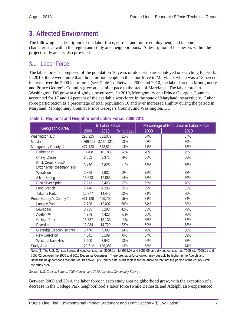## **3. Affected Environment**

The following is a description of the labor force, current and future employment, and income characteristics within the region and study area neighborhoods. A description of businesses within the project study area is also provided.

## 3.1 Labor Force

The labor force is composed of the population 16 years or older who are employed or searching for work. In 2010, there were more than three million people in the labor force in Maryland, which was a 13 percent increase over the 2000 labor force (see Table 1). Between 2000 and 2010, the labor force in Montgomery and Prince George's Counties grew at a similar pace to the state of Maryland. The labor force in Washington, DC grew at a slightly slower pace. In 2010, Montgomery and Prince George's Counties accounted for 17 and 16 percent of the available workforce in the state of Maryland, respectively. Labor force participation as a percentage of total population 16 and over increased slightly during the period in Maryland, Montgomery County, Prince George's County, and Washington, DC.

|                                                   | In Labor Force |           |            | Percentage of Population in Labor Force |      |  |
|---------------------------------------------------|----------------|-----------|------------|-----------------------------------------|------|--|
| Geographic Area                                   | 2000           | 2010      | % increase | 2000                                    | 2010 |  |
| Washington, DC                                    | 298,225        | 331,072   | 11%        | 64%                                     | 67%  |  |
| Maryland                                          | 2,769,525      | 3,134,131 | 13%        | 68%                                     | 70%  |  |
| Montgomery County <sup>(2)</sup>                  | 477,123        | 543,824   | 14%        | 71%                                     | 73%  |  |
| Bethesda <sup>(1)</sup>                           | 10,408         | 10,183    | $-2%$      | 70%                                     | 75%  |  |
| Chevy Chase                                       | 8,052          | 8,371     | 4%         | 66%                                     | 66%  |  |
| Rock Creek Forest/<br>Lyttonsville/Rosemary Hills | 3,460          | 3,825     | 11%        | 68%                                     | 76%  |  |
| Woodside                                          | 2,879          | 2,937     | 2%         | 75%                                     | 78%  |  |
| Silver Spring                                     | 15,623         | 17,863    | 14%        | 73%                                     | 79%  |  |
| East Silver Spring                                | 7,213          | 8,423     | 17%        | 69%                                     | 78%  |  |
| Long Branch                                       | 3,446          | 4,295     | 25%        | 69%                                     | 82%  |  |
| Takoma Park                                       | 12,877         | 14,446    | 12%        | 71%                                     | 80%  |  |
| Prince George's County (2)                        | 431,120        | 496,700   | 15%        | 71%                                     | 74%  |  |
| Langley Park                                      | 7,708          | 12,007    | 56%        | 64%                                     | 88%  |  |
| Lewisdale                                         | 3,735          | 5,293     | 42%        | 65%                                     | 79%  |  |
| Adelphi <sup>(1)</sup>                            | 4,779          | 4,428     | $-7%$      | 66%                                     | 70%  |  |
| College Park                                      | 13,537         | 13,133    | $-3%$      | 65%                                     | 52%  |  |
| Riverdale                                         | 12,084         | 14,729    | 22%        | 69%                                     | 78%  |  |
| Glenridge/Beacon Heights                          | 6,470          | 7,398     | 14%        | 70%                                     | 80%  |  |
| New Carrollton                                    | 4,841          | 5,109     | 6%         | 67%                                     | 69%  |  |
| West Lanham Hills                                 | 3,500          | 3,942     | 13%        | 66%                                     | 78%  |  |
| Study Area                                        | 120,612        | 136,382   | 13%        | 68%                                     | 74%  |  |

#### **Table 1. Regional and Neighborhood Labor Force, 2000-2010**

Note: (1) The U.S. Census Bureau divided census tract 8059.01 into 8059.08 and 8059.09, and divided census tract 7055 into 7055.01 and 7055.02 between the 2000 and 2010 Decennial Censuses. Therefore, labor force growth may possibly be higher in the Adelphi and Bethesda neighborhoods than the results shown. (2) County data in this table is for the entire county, not the portion of the county within the study area.

*Source: U.S. Census Bureau, 2000 Census and 2010 American Community Survey.* 

Between 2000 and 2010, the labor force in each study area neighborhood grew, with the exception of a decrease in the College Park neighborhood's labor force (while Bethesda and Adelphi also experienced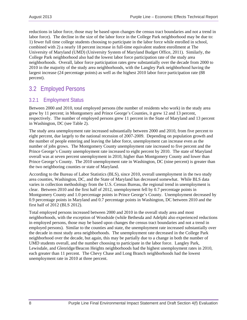reductions in labor force, those may be based upon changes the census tract boundaries and not a trend in labor force). The decline in the size of the labor force in the College Park neighborhood may be due to: 1) fewer full time college students choosing to participate in the labor force while enrolled in school, combined with 2) a nearly 18 percent increase in full-time equivalent student enrollment at The University of Maryland (UMD) (University System of Maryland Budget Office, 2011). Similarly, the College Park neighborhood also had the lowest labor force participation rate of the study area neighborhoods. Overall, labor force participation rates grew substantially over the decade from 2000 to 2010 in the majority of the study area neighborhoods, with the Langley Park neighborhood having the largest increase (24 percentage points) as well as the highest 2010 labor force participation rate (88 percent).

## 3.2 Employed Persons

### 3.2.1 Employment Status

Between 2000 and 2010, total employed persons (the number of residents who work) in the study area grew by 11 percent; in Montgomery and Prince George's Counties, it grew 12 and 13 percent, respectively. The number of employed persons grew 11 percent in the State of Maryland and 13 percent in Washington, DC (see Table 2).

The study area unemployment rate increased substantially between 2000 and 2010, from five percent to eight percent, due largely to the national recession of 2007-2009. Depending on population growth and the number of people entering and leaving the labor force, unemployment can increase even as the number of jobs grows. The Montgomery County unemployment rate increased to five percent and the Prince George's County unemployment rate increased to eight percent by 2010. The state of Maryland overall was at seven percent unemployment in 2010, higher than Montgomery County and lower than Prince George's County. The 2010 unemployment rate in Washington, DC (nine percent) is greater than the two neighboring counties or state of Maryland.

According to the Bureau of Labor Statistics (BLS), since 2010, overall unemployment in the two study area counties, Washington, DC, and the State of Maryland has decreased somewhat. While BLS data varies in collection methodology from the U.S. Census Bureau, the regional trend in unemployment is clear. Between 2010 and the first half of 2012, unemployment fell by 0.7 percentage points in Montgomery County and 1.0 percentage points in Prince George's County. Unemployment decreased by 0.9 percentage points in Maryland and 0.7 percentage points in Washington, DC between 2010 and the first half of 2012 (BLS 2012).

Total employed persons increased between 2000 and 2010 in the overall study area and most neighborhoods, with the exception of Woodside (while Bethesda and Adelphi also experienced reductions in employed persons, those may be based upon changes the census tract boundaries and not a trend in employed persons). Similar to the counties and state, the unemployment rate increased substantially over the decade in most study area neighborhoods. The unemployment rate decreased in the College Park neighborhood over the decade, but again, this may be partially due to a change in both the number of UMD students overall, and the number choosing to participate in the labor force. Langley Park, Lewisdale, and Glenridge/Beacon Heights neighborhoods had the highest unemployment rates in 2010, each greater than 11 percent. The Chevy Chase and Long Branch neighborhoods had the lowest unemployment rate in 2010 at three percent.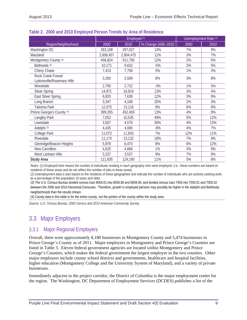|                                                   | Employed (1)     |           |                    | Unemployment Rate (2) |      |
|---------------------------------------------------|------------------|-----------|--------------------|-----------------------|------|
| Region/Neighborhood                               | $\frac{2000}{ }$ | 2010      | % Change 2000-2010 | 2000                  | 2010 |
| Washington DC                                     | 263,108          | 297,027   | 13%                | 7%                    | 9%   |
| Maryland                                          | 2,608,457        | 2,904,475 | 11%                | 3%                    | 7%   |
| Montgomery County (4)                             | 458,824          | 511,790   | 12%                | 2%                    | 5%   |
| Bethesda <sup>(3)</sup>                           | 10,171           | 9,632     | $-5%$              | 2%                    | 5%   |
| Chevy Chase                                       | 7,413            | 7,756     | 5%                 | 1%                    | 3%   |
| Rock Creek Forest/<br>Lyttonsville/Rosemary Hills | 3,263            | 3,509     | 8%                 | 3%                    | 8%   |
| Woodside                                          | 2,795            | 2,722     | $-3%$              | 1%                    | 5%   |
| <b>Silver Spring</b>                              | 14,871           | 16,819    | 13%                | 3%                    | 4%   |
| East Silver Spring                                | 6,820            | 7,638     | 12%                | 3%                    | 9%   |
| Long Branch                                       | 3,347            | 4,169     | 25%                | 2%                    | 3%   |
| Takoma Park                                       | 12,075           | 13,116    | 9%                 | 6%                    | 9%   |
| Prince George's County (4)                        | 399,355          | 452,459   | 13%                | 4%                    | 8%   |
| Langley Park                                      | 7,052            | 10,535    | 49%                | 5%                    | 12%  |
| Lewisdale                                         | 3,507            | 4,576     | 30%                | 4%                    | 13%  |
| Adelphi <sup>(3)</sup>                            | 4,435            | 4,080     | $-8%$              | 4%                    | 7%   |
| College Park                                      | 11,072           | 11,833    | 7%                 | 12%                   | 11%  |
| Riverdale                                         | 11,174           | 13,132    | 18%                | 7%                    | 9%   |
| Glenridge/Beacon Heights                          | 5,978            | 6,470     | 8%                 | 6%                    | 12%  |
| New Carrollton                                    | 4,625            | 4,666     | 1%                 | 3%                    | 9%   |
| West Lanham Hills                                 | 3,237            | 3,537     | 9%                 | 7%                    | 9%   |
| <b>Study Area</b>                                 | 111,835          | 124,190   | 11%                | 5%                    | 8%   |

#### **Table 2. 2000 and 2010 Employed Person Trends by Area of Residence**

Notes: (1) Employed here means the number of individuals residing in each geography who were employed. (i.e., these numbers are based on residents of these areas and do not reflect the number of jobs in these areas)

(2) Unemployment data is also based on the residents of these geographies and indicate the number of individuals who are actively seeking work, as a percentage of the population 16 years and older.

(3) The U.S. Census Bureau divided census tract 8059.01 into 8059.08 and 8059.09, and divided census tract 7055 into 7055.01 and 7055.02 between the 2000 and 2010 Decennial Censuses. Therefore, growth in employed persons may possibly be higher in the Adelphi and Bethesda neighborhoods than the results shown.

(4) County data in this table is for the entire county, not the portion of the county within the study area.

*Source: U.S. Census Bureau, 2000 Census and 2010 American Community Survey.* 

## 3.3 Major Employers

## 3.3.1 Major Regional Employers

Overall, there were approximately 8,180 businesses in Montgomery County and 5,474 businesses in Prince George's County as of 2011. Major employers in Montgomery and Prince George's Counties are listed in Table 3. Eleven federal government agencies are located within Montgomery and Prince George's Counties, which makes the federal government the largest employer in the two counties. Other major employers include county school districts and governments, healthcare and hospital facilities, higher education (Montgomery College and the University System of Maryland), and a variety of private businesses.

Immediately adjacent to the project corridor, the District of Columbia is the major employment center for the region. The Washington, DC Department of Employment Services (DCDES) publishes a list of the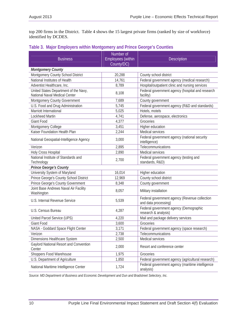top 200 firms in the District. Table 4 shows the 15 largest private firms (ranked by size of workforce) identified by DCDES.

| <b>Business</b>                                                        | Number of<br><b>Employees</b> (within | <b>Description</b>                                                    |
|------------------------------------------------------------------------|---------------------------------------|-----------------------------------------------------------------------|
|                                                                        | County/DC)                            |                                                                       |
| <b>Montgomery County</b>                                               |                                       |                                                                       |
| Montgomery County School District                                      | 20,288                                | County school district                                                |
| National Institutes of Health                                          | 14,761                                | Federal government agency (medical research)                          |
| Adventist Healthcare, Inc.                                             | 8,789                                 | Hospital/outpatient clinic and nursing services                       |
| United States Department of the Navy,<br>National Naval Medical Center | 8,108                                 | Federal government agency (hospital and research<br>facility)         |
| Montgomery County Government                                           | 7,689                                 | County government                                                     |
| U.S. Food and Drug Administration                                      | 5,745                                 | Federal government agency (R&D and standards)                         |
| Marriott International                                                 | 5,025                                 | Hotels, motels                                                        |
| <b>Lockheed Martin</b>                                                 | 4,741                                 | Defense, aerospace, electronics                                       |
| <b>Giant Food</b>                                                      | 4,377                                 | Groceries                                                             |
| Montgomery College                                                     | 3,451                                 | Higher education                                                      |
| Kaiser Foundation Health Plan                                          | 2,244                                 | Medical services                                                      |
| National Geospatial-Intelligence Agency                                | 3,000                                 | Federal government agency (national security<br>intelligence)         |
| Verizon                                                                | 2,895                                 | Telecommunications                                                    |
| <b>Holy Cross Hospital</b>                                             | 2,890                                 | Medical services                                                      |
| National Institute of Standards and<br>Technology                      | 2,700                                 | Federal government agency (testing and<br>standards, R&D)             |
| <b>Prince George's County</b>                                          |                                       |                                                                       |
| University System of Maryland                                          | 16,014                                | Higher education                                                      |
| Prince George's County School District                                 | 12,969                                | County school district                                                |
| Prince George's County Government                                      | 8,348                                 | County government                                                     |
| Joint Base Andrews Naval Air Facility<br>Washington                    | 8,057                                 | Military installation                                                 |
| U.S. Internal Revenue Service                                          | 5,539                                 | Federal government agency (Revenue collection<br>and data processing) |
| U.S. Census Bureau                                                     | 4,287                                 | Federal government agency (Demographic<br>research & analysis)        |
| United Parcel Service (UPS)                                            | 4,220                                 | Mail and package delivery services                                    |
| <b>Giant Food</b>                                                      | 3,600                                 | Groceries                                                             |
| NASA - Goddard Space Flight Center                                     | 3,171                                 | Federal government agency (space research)                            |
| Verizon                                                                | 2,738                                 | Telecommunications                                                    |
| Dimensions Healthcare System                                           | 2,500                                 | Medical services                                                      |
| Gaylord National Resort and Convention<br>Center                       | 2,000                                 | Resort and conference center                                          |
| Shoppers Food Warehouse                                                | 1,975                                 | Groceries                                                             |
| U.S. Department of Agriculture                                         | 1,850                                 | Federal government agency (agricultural research)                     |
| National Maritime Intelligence Center                                  | 1,724                                 | Federal government agency (maritime intelligence<br>analysis)         |

#### **Table 3. Major Employers within Montgomery and Prince George's Counties**

*Source: MD Department of Business and Economic Development and Dun and Bradstreet Selectory, Inc.*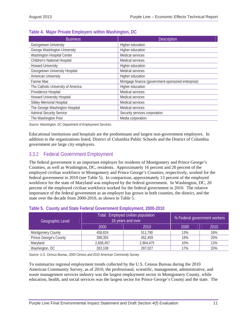| <b>Business</b>                     | <b>Description</b>                                 |
|-------------------------------------|----------------------------------------------------|
| Georgetown University               | Higher education                                   |
| George Washington University        | Higher education                                   |
| Washington Hospital Center          | Medical services                                   |
| <b>Children's National Hospital</b> | Medical services                                   |
| <b>Howard University</b>            | Higher education                                   |
| Georgetown University Hospital      | Medical services                                   |
| <b>American University</b>          | Higher education                                   |
| Fannie Mae                          | Mortgage finance (government-sponsored enterprise) |
| The Catholic University of America  | Higher education                                   |
| Providence Hospital                 | Medical services                                   |
| <b>Howard University Hospital</b>   | Medical services                                   |
| Sibley Memorial Hospital            | Medical services                                   |
| The George Washington Hospital      | Medical services                                   |
| <b>Admiral Security Service</b>     | Security services corporation                      |
| The Washington Post                 | Media corporation                                  |

#### **Table 4. Major Private Employers within Washington, DC**

*Source: Washington, DC Department of Employment Services.* 

Educational institutions and hospitals are the predominant and largest non-government employers. In addition to the organizations listed, District of Columbia Public Schools and the District of Columbia government are large city employers.

## 3.3.2 Federal Government Employment

The federal government is an important employer for residents of Montgomery and Prince George's Counties, as well as Washington, DC, residents. Approximately 16 percent and 20 percent of the employed civilian workforce in Montgomery and Prince George's Counties, respectively, worked for the federal government in 2010 (see Table 5). In comparison, approximately 13 percent of the employed workforce for the state of Maryland was employed by the federal government. In Washington, DC, 20 percent of the employed civilian workforce worked for the federal government in 2010. The relative importance of the federal government as an employer has grown in both counties, the district, and the state over the decade from 2000-2010, as shown in Table 5.

| Geographic Level              |           | Total: Employed civilian population<br>16 years and over | % Federal government workers |      |  |
|-------------------------------|-----------|----------------------------------------------------------|------------------------------|------|--|
|                               | 2000      | 2010                                                     | 2000                         | 2010 |  |
| <b>Montgomery County</b>      | 458,824   | 511,790                                                  | 13%                          | 16%  |  |
| <b>Prince George's County</b> | 399,355   | 452,459                                                  | 19%                          | 20%  |  |
| Maryland                      | 2,608,457 | 2,904,475                                                | 10%                          | 13%  |  |
| Washington, DC                | 263,108   | 297,027                                                  | 17%                          | 20%  |  |

#### **Table 5. County and State Federal Government Employment, 2000-2010**

*Source: U.S. Census Bureau, 2000 Census and 2010 American Community Survey.* 

To summarize regional employment trends collected by the U.S. Census Bureau during the 2010 American Community Survey, as of 2010, the professional, scientific, management, administrative, and waste management services industry was the largest employment sector in Montgomery County, while education, health, and social services was the largest sector for Prince George's County and the state. The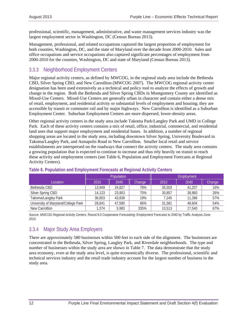professional, scientific, management, administrative, and waste management services industry was the largest employment sector in Washington, DC (Census Bureau 2013).

Management, professional, and related occupations captured the largest proportion of employment for both counties, Washington, DC, and the state of Maryland over the decade from 2000-2010. Sales and office occupations and service occupations also captured significant percentages of employment from 2000-2010 for the counties, Washington, DC and state of Maryland (Census Bureau 2013).

## 3.3.3 Neighborhood Employment Centers

Major regional activity centers, as defined by MWCOG, in the regional study area include the Bethesda CBD, Silver Spring CBD, and New Carrollton (MWCOG 2007). The MWCOG regional activity center designation has been used extensively as a technical and policy tool to analyze the effects of growth and change in the region. Both the Bethesda and Silver Spring CBDs in Montgomery County are identified as Mixed-Use Centers. Mixed-Use Centers are generally urban in character and contain either a dense mix of retail, employment, and residential activity or substantial levels of employment and housing; they are accessible by transit or commuter rail and by major highways. New Carrollton is identified as a Suburban Employment Center. Suburban Employment Centers are more dispersed, lower-density areas.

Other regional activity centers in the study area include Takoma Park/Langley Park and UMD in College Park. Each of these activity centers contains a mix of retail, office, industrial, commercial, and residential land uses that support major employment and residential bases. In addition, a number of regional shopping areas are located in the study area, including downtown Silver Spring, University Boulevard in Takoma/Langley Park, and Annapolis Road in New Carrollton. Smaller local retail and service establishments are interspersed on the roadways that connect the activity centers. The study area contains a growing population that is expected to continue to increase and thus rely heavily on transit to reach these activity and employment centers (see Table 6, Population and Employment Forecasts at Regional Activity Centers).

|                                     |        | <b>Population</b> |        |        | Employment |        |
|-------------------------------------|--------|-------------------|--------|--------|------------|--------|
| Location                            | 2010   | 2040              | Change | 2010   | 2040       | Change |
| Bethesda CBD                        | 13.949 | 24.827            | 78%    | 35,503 | 41.207     | 16%    |
| Silver Spring CBD                   | 14,123 | 23.953            | 70%    | 30.857 | 38,860     | 26%    |
| Takoma/Langley Park                 | 36,803 | 43,838            | 19%    | 7.245  | 11,386     | 57%    |
| University of Maryland/College Park | 28.641 | 47.580            | 66%    | 31.581 | 48.604     | 54%    |
| New Carrollton                      | 1,374  | 5,983             | 335%   | 10,513 | 17,540     | 67%    |

#### **Table 6. Population and Employment Forecasts at Regional Activity Centers**

*Source: MWCOG Regional Activity Centers,* Round 8.0 Cooperative Forecasting*:* Employment Forecasts to 2040 by Traffic Analysis Zone *2010.* 

## 3.3.4 Major Study Area Employers

There are approximately 580 businesses within 500 feet to each side of the alignment. The businesses are concentrated in the Bethesda, Silver Spring, Langley Park, and Riverdale neighborhoods. The type and number of businesses within the study area are shown in Table 7. The data demonstrate that the study area economy, even at the study area level, is quite economically diverse. The professional, scientific and technical services industry and the retail trade industry account for the largest number of business in the study area.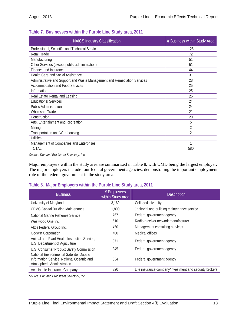| <b>NAICS Industry Classification</b>                                     | # Business within Study Area |
|--------------------------------------------------------------------------|------------------------------|
| Professional, Scientific and Technical Services                          | 128                          |
| Retail Trade                                                             | 72                           |
| Manufacturing                                                            | 51                           |
| Other Services (except public administration)                            | 51                           |
| Finance and Insurance                                                    | 44                           |
| Health Care and Social Assistance                                        | 31                           |
| Administrative and Support and Waste Management and Remediation Services | 28                           |
| <b>Accommodation and Food Services</b>                                   | 25                           |
| Information                                                              | 25                           |
| Real Estate Rental and Leasing                                           | 25                           |
| <b>Educational Services</b>                                              | 24                           |
| <b>Public Administration</b>                                             | 24                           |
| Wholesale Trade                                                          | 21                           |
| Construction                                                             | 20                           |
| Arts, Entertainment and Recreation                                       | 5                            |
| Mining                                                                   | $\overline{2}$               |
| Transportation and Warehousing                                           | $\overline{2}$               |
| <b>Utilities</b>                                                         |                              |
| Management of Companies and Enterprises                                  |                              |
| <b>TOTAL</b>                                                             | 580                          |

#### **Table 7. Businesses within the Purple Line Study area, 2011**

*Source: Dun and Bradstreet Selectory, Inc.* 

Major employers within the study area are summarized in Table 8, with UMD being the largest employer. The major employers include four federal government agencies, demonstrating the important employment role of the federal government in the study area.

#### **Table 8. Major Employers within the Purple Line Study area, 2011**

| <b>Business</b>                                                                                                     | # Employees<br>within Study area | <b>Description</b>                                     |
|---------------------------------------------------------------------------------------------------------------------|----------------------------------|--------------------------------------------------------|
| University of Maryland                                                                                              | 3,169                            | College/University                                     |
| <b>CBMC Capital Building Maintenance</b>                                                                            | 1,800                            | Janitorial and building maintenance service            |
| National Marine Fisheries Service                                                                                   | 767                              | Federal government agency                              |
| Westwood One Inc.                                                                                                   | 610                              | Radio receiver network manufacturer                    |
| Altos Federal Group Inc.                                                                                            | 450                              | Management consulting services                         |
| Godwin Corporation                                                                                                  | 400                              | Medical offices                                        |
| Animal and Plant Health Inspection Service,<br>U.S. Department of Agriculture                                       | 371                              | Federal government agency                              |
| U.S. Consumer Product Safety Commission                                                                             | 345                              | Federal government agency                              |
| National Environmental Satellite, Data &<br>Information Service, National Oceanic and<br>Atmospheric Administration | 334                              | Federal government agency                              |
| Acacia Life Insurance Company                                                                                       | 320                              | Life insurance company/investment and security brokers |

*Source: Dun and Bradstreet Selectory, Inc.*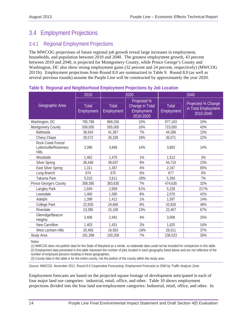## 3.4 Employment Projections

## 3.4.1 Regional Employment Projections

The MWCOG projections of future regional job growth reveal large increases in employment, households, and population between 2010 and 2040. The greatest employment growth, 43 percent between 2010 and 2040, is projected for Montgomery County, while Prince George's County and Washington, DC also show strong employment gains (32 percent and 24 percent, respectively) (MWCOG 2011b). Employment projections from Round 8.0 are summarized in Table 9. Round 8.0 (as well as several previous rounds) assume the Purple Line will be constructed by approximately the year 2020.

|                                                             | 2010                |                            | 2020                                                      | 2040                |                                                        |
|-------------------------------------------------------------|---------------------|----------------------------|-----------------------------------------------------------|---------------------|--------------------------------------------------------|
| Geographic Area                                             | Total<br>Employment | <b>Total</b><br>Employment | Projected %<br>Change in Total<br>Employment<br>2010-2020 | Total<br>Employment | Projected % Change<br>in Total Employment<br>2010-2040 |
| Washington, DC                                              | 785,788             | 868,256                    | 10%                                                       | 977,163             | 24%                                                    |
| Montgomery County                                           | 506,000             | 585,000                    | 16%                                                       | 723,000             | 43%                                                    |
| Bethesda                                                    | 38,543              | 41,367                     | 7%                                                        | 44,286              | 15%                                                    |
| Chevy Chase                                                 | 29,572              | 35,328                     | 19%                                                       | 36,071              | 22%                                                    |
| Rock Creek Forest/<br>Lyttonsville/Rosemary<br><b>Hills</b> | 3,390               | 3,848                      | 14%                                                       | 3,863               | 14%                                                    |
| Woodside                                                    | 1,462               | 1,475                      | 1%                                                        | 1,512               | 3%                                                     |
| <b>Silver Spring</b>                                        | 36,448              | 39,637                     | 9%                                                        | 44,710              | 23%                                                    |
| East Silver Spring                                          | 1,311               | 1,367                      | 4%                                                        | 2,167               | 65%                                                    |
| Long Branch                                                 | 674                 | 675                        | 0%                                                        | 677                 | 0%                                                     |
| Takoma Park                                                 | 5,010               | 3,611                      | $-28%$                                                    | 5,359               | 7%                                                     |
| Prince George's County                                      | 358,385             | 383,635                    | 7%                                                        | 474,635             | 32%                                                    |
| Langley Park                                                | 1,649               | 2,658                      | 61%                                                       | 5,228               | 217%                                                   |
| Lewisdale                                                   | 1,460               | 1,580                      | 8%                                                        | 2,076               | 42%                                                    |
| Adelphi                                                     | 1,399               | 1,412                      | 1%                                                        | 1,597               | 14%                                                    |
| College Park                                                | 22,830              | 24,665                     | 8%                                                        | 33,926              | 49%                                                    |
| Riverdale                                                   | 13,385              | 15,100                     | 13%                                                       | 22,407              | 67%                                                    |
| Glenridge/Beacon<br><b>Heights</b>                          | 2,406               | 2,491                      | 4%                                                        | 3,008               | 25%                                                    |
| New Carrollton                                              | 1,403               | 1,431                      | 2%                                                        | 1,625               | 16%                                                    |
| West Lanham Hills                                           | 20,456              | 16,563                     | $-19%$                                                    | 28,011              | 37%                                                    |
| Study Area                                                  | 181,398             | 193,208                    | 7%                                                        | 236,523             | 30%                                                    |

#### **Table 9. Regional and Neighborhood Employment Projections by Job Location**

Notes:

(1) MWCOG does not publish data for the State of Maryland as a whole, so statewide data could not be included for comparison in this table.

(2) Employment data presented in this table represent the number of jobs located in each geography listed above and are not reflective of the number of employed persons residing in these geographies.

(3) County data in this table is for the entire county, not the portion of the county within the study area.

*Source: MWCOG. November 2011. Round 8.0 Cooperative Forecasting: Employment Forecasts to 2040 by Traffic Analysis Zone.* 

Employment forecasts are based on the projected square footage of development anticipated in each of four major land use categories: industrial, retail, office, and other. Table 10 shows employment projections divided into the four land use/employment categories: Industrial, retail, office, and other. In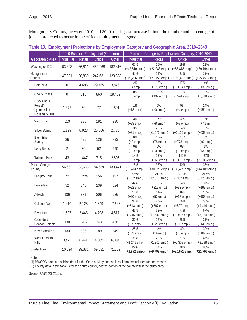Montgomery County, between 2010 and 2040, the largest increase in both the number and percentage of jobs is projected to occur in the office employment category.

|                                                                 | 2010 Baseline Employment (# of emp) |        |               | Projected Change by Employment Category, 2010-2040 |                             |                                 |                           |                           |
|-----------------------------------------------------------------|-------------------------------------|--------|---------------|----------------------------------------------------|-----------------------------|---------------------------------|---------------------------|---------------------------|
| Geographic Area                                                 | Industrial                          | Retail | <b>Office</b> | Other                                              | Industrial                  | <b>Retail</b>                   | <b>Office</b>             | Other                     |
| Washington DC                                                   | 63,893                              | 86,811 | 452,268       | 182,816                                            | 67%                         | 25%                             | 19%                       | 21%                       |
|                                                                 |                                     |        |               |                                                    | $(+42,810$ emp.)            | (+22,083 emp.)                  | $(+85,818$ emp.)          | $(+39, 164$ emp.)         |
| Montgomery<br>County                                            | 47,231                              | 90,830 | 247,631       | 120,308                                            | 41%<br>(+19,296 emp.)       | 24%<br>$(+21,750 \text{ emp.})$ | 61%<br>$(+150, 497$ emp.) | 21%<br>$(+25,457$ emp.)   |
|                                                                 |                                     |        |               |                                                    | 2%                          | 12%                             | 17%                       | 4%                        |
| Bethesda                                                        | 207                                 | 4,695  | 29,765        | 3,876                                              | $(+4 \text{ emp.})$         | $(+573$ emp.)                   | $(+5,034$ emp.)           | $(+135$ emp.)             |
| Chevy Chase                                                     | $\overline{0}$                      | 310    | 860           | 28,402                                             | 0%<br>$(+0$ emp.)           | 131%<br>$(+407$ emp.)           | 67%<br>$(+574$ emp.)      | 19%<br>$(+5,518$ emp.)    |
| <b>Rock Creek</b><br>Forest/<br>Lyttonsville/<br>Rosemary Hills | 1,372                               | 50     | 77            | 1,891                                              | 1%<br>$(+18$ emp.)          | 0%<br>$(+0$ emp.)               | 5%<br>$(+4$ emp.)         | 24%<br>$(+451$ emp.)      |
| Woodside                                                        | 813                                 | 238    | 181           | 230                                                | 3%<br>$(+28$ emp.)          | 3%<br>$(+8$ emp.)               | 4%<br>$(+7$ emp.)         | 3%<br>$(+7$ emp.)         |
|                                                                 |                                     |        |               |                                                    | 3%                          | 23%                             | 24%                       | 19%                       |
| <b>Silver Spring</b>                                            | 1,129                               | 6,923  | 25,666        | 2,730                                              | $(+31$ emp.)                | $(+1,573$ emp.)                 | $(+6, 125$ emp.)          | $(+533$ emp.)             |
| <b>East Silver</b>                                              | 26                                  | 426    | 126           | 733                                                | $0\%$                       | 18%                             | 618%                      | $0\%$                     |
| Spring                                                          |                                     |        |               |                                                    | $(+0$ emp.)<br>$0\%$        | (+78 emp.)<br>$0\%$             | $(+778$ emp.)             | $(+0$ emp.)               |
| Long Branch                                                     | $\overline{2}$                      | 30     | 52            | 590                                                | $(+0$ emp.)                 | $(+0$ emp.)                     | 0%<br>$(+0$ emp.)         | 1%<br>$(+3$ emp.)         |
| Takoma Park                                                     | 43                                  | 1,447  | 715           | 2,805                                              | 14%<br>$(+6$ emp.)          | 25%<br>$(+365$ emp.)            | 142%<br>$(+1,013$ emp.)   | $-37%$<br>$(-1,035$ emp.) |
| Prince George's<br>County                                       | 56,652                              | 83,653 | 84,639        | 133,441                                            | 15%<br>$(+8,414$ emp.)      | 36%<br>$(+30,228$ emp.)         | 40%<br>$(+33,499$ emp.)   | 33%<br>$(+44, 109$ emp.)  |
| Langley Park                                                    | 72                                  | 1,224  | 156           | 197                                                | 225%<br>$(+162$ emp.)       | 217%<br>$(+2,657$ emp.)         | 213%<br>$(+332$ emp.)     | 217%<br>$(+428$ emp.)     |
| Lewisdale                                                       | 52                                  | 645    | 239           | 524                                                | 42%                         | 50%                             | 34%                       | 37%                       |
|                                                                 |                                     |        |               |                                                    | $(+22$ emp.)                | $(+319$ emp.)                   | $(+82 \text{ emp.})$      | $(+193$ emp.)             |
| Adelphi                                                         | 136                                 | 371    | 206           | 686                                                | 15%<br>$(+20 \text{ emp.})$ | 14%<br>$(+53$ emp.)             | 8%<br>$(+17$ emp.)        | 16%<br>$(+108$ emp.)      |
|                                                                 |                                     |        |               |                                                    | 37%                         | 27%                             | 36%                       | 53%                       |
| College Park                                                    | 1,410                               | 2,125  | 1,649         | 17,646                                             | $(+518$ emp.)               | $(+567$ emp.)                   | $(+597$ emp.)             | $(+9,414$ emp.)           |
| Riverdale                                                       | 1,627                               | 2,443  | 4,798         | 4,517                                              | 46%<br>$(+745$ emp.)        | 63%<br>$(+1,547$ emp.)          | 77%<br>$(+3,696$ emp.)    | 67%<br>$(+3,034$ emp.)    |
| Glenridge/                                                      |                                     |        |               |                                                    | 30%                         | 22%                             | 28%                       | 31%                       |
| <b>Beacon Heights</b>                                           | 130                                 | 1,477  | 343           | 456                                                | $(+39$ emp.)                | $(+325 \text{ emp.})$           | $(+95$ emp.)              | $(+143$ emp.)             |
| New Carrollton                                                  | 133                                 | 536    | 189           | 545                                                | 25%                         | 4%                              | 4%                        | 30%                       |
|                                                                 |                                     |        |               |                                                    | $(+33$ emp.)                | $(+19$ emp.)                    | $(+8$ emp.)               | $(+162$ emp.)             |
| West Lanham<br><b>Hills</b>                                     | 3,472                               | 6,441  | 4,509         | 6,034                                              | 36%<br>$(+1,246$ emp.)      | 20%<br>$(+1,302$ emp.)          | 51%<br>$(+2,309$ emp.)    | 45%<br>$(+2,698$ emp.)    |
| <b>Study Area</b>                                               | 10,624                              | 29,381 | 69,531        | 71,862                                             | 27%<br>$(+2,872$ emp.)      | 33%<br>$(+9,793$ emp.)          | 30%<br>$(+20,671$ emp.)   | 30%<br>$(+21,792$ emp.)   |

#### **Table 10. Employment Projections by Employment Category and Geographic Area, 2010–2040**

Note:

(1) MWCOG does not publish data for the State of Maryland, so it could not be included for comparison.

(2) County data in this table is for the entire county, not the portion of the county within the study area.

*Source: MWCOG 2011a.*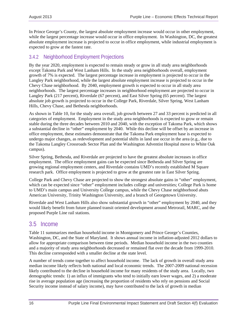In Prince George's County, the largest absolute employment increase would occur in other employment, while the largest percentage increase would occur in office employment. In Washington, DC, the greatest absolute employment increase is projected to occur in office employment, while industrial employment is expected to grow at the fastest rate.

### 3.4.2 Neighborhood Employment Projections

By the year 2020, employment is expected to remain steady or grow in all study area neighborhoods except Takoma Park and West Lanham Hills. In the study area neighborhoods overall, employment growth of 7% is expected. The largest percentage increase in employment is projected to occur in the Langley Park neighborhood, while the largest absolute employment increase is projected to occur in the Chevy Chase neighborhood. By 2040, employment growth is expected to occur in all study area neighborhoods. The largest percentage increases in neighborhood employment are projected to occur in Langley Park (217 percent), Riverdale (67 percent), and East Silver Spring (65 percent). The largest absolute job growth is projected to occur in the College Park, Riverdale, Silver Spring, West Lanham Hills, Chevy Chase, and Bethesda neighborhoods.

As shown in Table 10, for the study area overall, job growth between 27 and 33 percent is predicted in all categories of employment. Employment in the study area neighborhoods is expected to grow or remain stable during the three decades between 2010 and 2040, with the exception of Takoma Park, which shows a substantial decline in "other" employment by 2040. While this decline will be offset by an increase in office employment, these estimates demonstrate that the Takoma Park employment base is expected to undergo major changes, as redevelopment and potential shifts in land use occur in the area (e.g., due to the Takoma Langley Crossroads Sector Plan and the Washington Adventist Hospital move to White Oak campus).

Silver Spring, Bethesda, and Riverdale are projected to have the greatest absolute increases in office employment. The office employment gains can be expected since Bethesda and Silver Spring are growing regional employment centers, and Riverdale contains UMD's recently established M Square research park. Office employment is projected to grow at the greatest rate in East Silver Spring.

College Park and Chevy Chase are projected to show the strongest absolute gains in "other" employment, which can be expected since "other" employment includes college and universities; College Park is home to UMD's main campus and University College campus, while the Chevy Chase neighborhood abuts American University, Trinity Washington University, and a branch of Georgetown University.

Riverdale and West Lanham Hills also show substantial growth in "other" employment by 2040, and they would likely benefit from future planned transit oriented development around Metrorail, MARC, and the proposed Purple Line rail stations.

## 3.5 Income

Table 11 summarizes median household income in Montgomery and Prince George's Counties, Washington, DC, and the State of Maryland. It shows annual income in inflation-adjusted 2012 dollars to allow for appropriate comparison between time periods. Median household income in the two counties and a majority of study area neighborhoods decreased or remained flat over the decade from 1999-2010. This decline corresponded with a smaller decline at the state level.

A number of trends come together to affect household income. The lack of growth in overall study area median income likely reflects both national and local economic trends. The 2007-2009 national recession likely contributed to the decline in household income for many residents of the study area. Locally, two demographic trends: 1) an influx of immigrants who tend to initially earn lower wages, and 2) a moderate rise in average population age (increasing the proportion of residents who rely on pensions and Social Security income instead of salary income), may have contributed to the lack of growth in median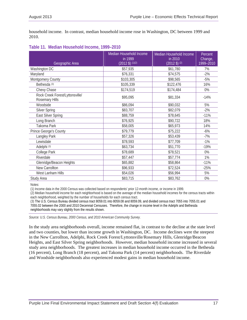household income. In contrast, median household income rose in Washington, DC between 1999 and 2010.

|  |  |  |  | Table 11. Median Household Income, 1999-2010 |
|--|--|--|--|----------------------------------------------|
|--|--|--|--|----------------------------------------------|

| Geographic Area                                   | Median Household Income<br>in 1999<br>$(2012 \text{ $})$ (1)(2) | Median Household Income<br>in 2010<br>$(2012 \text{ $})^{(2)}$ | Percent<br>Change,<br>1999-2010 |
|---------------------------------------------------|-----------------------------------------------------------------|----------------------------------------------------------------|---------------------------------|
| Washington DC                                     | \$57,935                                                        | \$61,780                                                       | 7%                              |
| Maryland                                          | \$76,331                                                        | \$74,575                                                       | $-2%$                           |
| Montgomery County                                 | \$103,305                                                       | \$98,565                                                       | $-5%$                           |
| Bethesda <sup>(3)</sup>                           | \$105,339                                                       | \$122,476                                                      | 16%                             |
| Chevy Chase                                       | \$174,519                                                       | \$174,484                                                      | 0%                              |
| Rock Creek Forest/Lyttonsville/<br>Rosemary Hills | \$95,095                                                        | \$81,334                                                       | $-14%$                          |
| Woodside                                          | \$86,094                                                        | \$90,032                                                       | 5%                              |
| <b>Silver Spring</b>                              | \$83,707                                                        | \$82,079                                                       | $-2%$                           |
| East Silver Spring                                | \$88,759                                                        | \$78,645                                                       | $-11%$                          |
| Long Branch                                       | \$76,925                                                        | \$90,722                                                       | 18%                             |
| Takoma Park                                       | \$58,005                                                        | \$65,973                                                       | 14%                             |
| Prince George's County                            | \$79,779                                                        | \$75,222                                                       | $-6%$                           |
| Langley Park                                      | \$57,326                                                        | \$53,439                                                       | $-7%$                           |
| Lewisdale                                         | \$78,593                                                        | \$77,709                                                       | $-1%$                           |
| Adelphi <sup>(3)</sup>                            | \$63,734                                                        | \$51,770                                                       | $-19%$                          |
| College Park                                      | \$78,689                                                        | \$78,521                                                       | 0%                              |
| Riverdale                                         | \$57,447                                                        | \$57,774                                                       | 1%                              |
| Glenridge/Beacon Heights                          | \$65,882                                                        | \$58,864                                                       | $-11%$                          |
| New Carrollton                                    | \$96,933                                                        | \$72,524                                                       | $-25%$                          |
| West Lanham Hills                                 | \$54,026                                                        | \$56,994                                                       | 5%                              |
| Study Area                                        | \$83,715                                                        | \$83,762                                                       | 0%                              |

Notes:

(1) Income data in the 2000 Census was collected based on respondents' prior 12-month income, or income in 1999.

(2) Median household income for each neighborhood is based on the average of the median household incomes for the census tracts within each neighborhood, weighted by the number of households for each census tract.

(3) The U.S. Census Bureau divided census tract 8059.01 into 8059.08 and 8059.09, and divided census tract 7055 into 7055.01 and 7055.02 between the 2000 and 2010 Decennial Censuses. Therefore, the change in income level in the Adelphi and Bethesda neighborhoods may vary slightly from the results shown.

*Source: U.S. Census Bureau, 2000 Census, and 2010 American Community Survey.* 

In the study area neighborhoods overall, income remained flat, in contrast to the decline at the state level and two counties, but lower than income growth in Washington, DC. Income declines were the steepest in the New Carrollton, Adelphi, Rock Creek Forest/Lyttonsville/Rosemary Hills, Glenridge/Beacon Heights, and East Silver Spring neighborhoods. However, median household income increased in several study area neighborhoods. The greatest increases in median household income occurred in the Bethesda (16 percent), Long Branch (18 percent), and Takoma Park (14 percent) neighborhoods. The Riverdale and Woodside neighborhoods also experienced modest gains in median household income.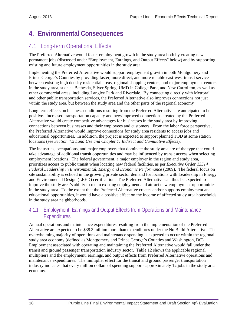## **4. Environmental Consequences**

## 4.1 Long-term Operational Effects

The Preferred Alternative would foster employment growth in the study area both by creating new permanent jobs (discussed under "Employment, Earnings, and Output Effects" below) and by supporting existing and future employment opportunities in the study area.

Implementing the Preferred Alternative would support employment growth in both Montgomery and Prince George's Counties by providing faster, more direct, and more reliable east-west transit service between existing high density residential areas, regional shopping centers, and major employment centers in the study area, such as Bethesda, Silver Spring, UMD in College Park, and New Carrollton, as well as other commercial areas, including Langley Park and Riverdale. By connecting directly with Metrorail and other public transportation services, the Preferred Alternative also improves connections not just within the study area, but between the study area and the other parts of the regional economy

Long term effects on business conditions resulting from the Preferred Alternative are anticipated to be positive. Increased transportation capacity and new/improved connections created by the Preferred Alternative would create competitive advantages for businesses in the study area by improving connections between businesses and their employees and customers. From the labor force perspective, the Preferred Alternative would improve connections for study area residents to access jobs and educational opportunities. In addition, the project is expected to support planned TOD at some station locations (see *Section 4.2 Land Use and Chapter 7: Indirect and Cumulative Effects*).

The industries, occupations, and major employers that dominate the study area are of the type that could take advantage of additional transit opportunities and may be influenced by transit access when selecting employment locations. The federal government, a major employer in the region and study area, prioritizes access to public transit when locating new federal facilities, as per *Executive Order 13514 Federal Leadership in Environmental, Energy and Economic Performance* (2009). The federal focus on site sustainability is echoed in the growing private sector demand for locations with Leadership in Energy and Environmental Design (LEED) certification. The Preferred Alternative can thus be expected to improve the study area's ability to retain existing employment and attract new employment opportunities in the study area. To the extent that the Preferred Alternative creates and/or supports employment and educational opportunities, it would have a positive effect on the income of affected study area households in the study area neighborhoods.

## 4.1.1 Employment, Earnings and Output Effects from Operations and Maintenance **Expenditures**

Annual operations and maintenance expenditures resulting from the implementation of the Preferred Alternative are expected to be \$38.3 million more than expenditures under the No Build Alternative. The overwhelming majority of operations and maintenance spending is expected to occur within the regional study area economy (defined as Montgomery and Prince George's Counties and Washington, DC). Employment associated with operating and maintaining the Preferred Alternative would fall under the transit and ground passenger transportation industry sector. Table 12 shows the applicable regional multipliers and the employment, earnings, and output effects from Preferred Alternative operations and maintenance expenditures. The multiplier effect for the transit and ground passenger transportation industry indicates that every million dollars of spending supports approximately 12 jobs in the study area economy.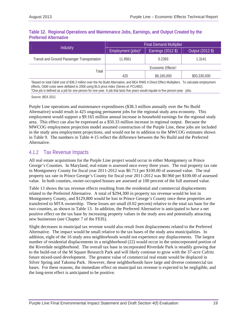#### **Table 12. Regional Operations and Maintenance Jobs, Earnings, and Output Created by the Preferred Alternative**

|                                                    | <b>Final Demand Multiplier</b> |                    |                  |  |
|----------------------------------------------------|--------------------------------|--------------------|------------------|--|
| Industry                                           | Employment (jobs) <sup>2</sup> | Earnings (2012 \$) | Output (2012 \$) |  |
| <b>Transit and Ground Passenger Transportation</b> | 11.9561                        | 0.2393             | 1.3141           |  |
|                                                    | Economic Effects <sup>1</sup>  |                    |                  |  |
| Total                                              | 425                            | \$9,165,000        | \$50,330,000     |  |

1Based on total O&M cost of \$38.3 million over the No Build Alternative, and BEA RIMS II Direct Effect Multipliers. To calculate employment effects, O&M costs were deflated to 2008 using BLS price index (Series id: PCU482).

2One job is defined as a job for one person for one year. A job that lasts five years would equate to five person-year jobs.

*Source: BEA 2011.*

Purple Line operations and maintenance expenditures (\$38.3 million annually over the No Build Alternative) would result in 425 ongoing permanent jobs for the regional study area economy. This employment would support a \$9.165 million annual increase in household earnings for the regional study area. This effect can also be expressed as a \$50.33 million increase in regional output. Because the MWCOG employment projection model assumed construction of the Purple Line, these jobs are included in the study area employment projections, and would not be in addition to the MWCOG estimates shown in Table 9. The numbers in Table 4-15 reflect the difference between the No Build and the Preferred Alternative.

### 4.1.2 Tax Revenue Impacts

All real estate acquisitions for the Purple Line project would occur in either Montgomery or Prince George's Counties. In Maryland, real estate is assessed once every three years. The real property tax rate in Montgomery County for fiscal year 2011-2012 was \$0.713 per \$100.00 of assessed value. The real property tax rate in Prince George's County for fiscal year 2011-2012 was \$0.960 per \$100.00 of assessed value. In both counties, owner-occupied houses are assessed at 100 percent of the full assessed value.

Table 13 shows the tax revenue effects resulting from the residential and commercial displacements related to the Preferred Alternative. A total of \$294,300 in property tax revenue would be lost in Montgomery County, and \$129,800 would be lost in Prince George's County once these properties are transferred to MTA ownership. These losses are small (0.02 percent) relative to the total tax base for the two counties, as shown in Table 13. In addition, the Preferred Alternative is anticipated to have a net positive effect on the tax base by increasing property values in the study area and potentially attracting new businesses (see Chapter 7 of the FEIS).

Slight decreases in municipal tax revenue would also result from displacements related to the Preferred Alternative. The impact would be small relative to the tax bases of the study area municipalities. In addition, eight of the 16 study area neighborhoods would not experience any displacements. The largest number of residential displacements in a neighborhood (22) would occur in the unincorporated portion of the Riverdale neighborhood. The overall tax base in incorporated Riverdale Park is steadily growing due to the build-out of the M Square Research Park and will likely continue to grow with the 37-acre Cafritz future mixed-used development. The greatest value of commercial real estate would be displaced in Silver Spring and Takoma Park. However, these neighborhoods have large and diverse commercial tax bases. For these reasons, the immediate effect on municipal tax revenue is expected to be negligible, and the long-term effect is anticipated to be positive.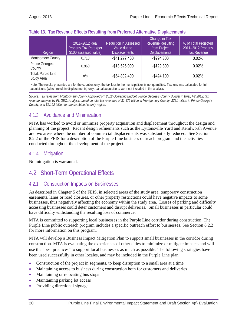| Region                           | 2011-2012 Real<br>Property Tax Rate (per<br>\$100 assessed value) | <b>Reduction in Assessed</b><br>Value due to<br><b>Displacements</b> | Change in Tax<br><b>Revenue Resulting</b><br>from Project<br><b>Displacements</b> | % of Total Projected<br>2011-2012 Property<br><b>Tax Revenue</b> |
|----------------------------------|-------------------------------------------------------------------|----------------------------------------------------------------------|-----------------------------------------------------------------------------------|------------------------------------------------------------------|
| Montgomery County                | 0.713                                                             | $-$ \$41,277,400                                                     | $-$ \$294,300                                                                     | 0.02%                                                            |
| Prince George's<br>County        | 0.960                                                             | $-$ \$13,525,000                                                     | $-$129,800$                                                                       | $0.02\%$                                                         |
| Total: Purple Line<br>Study Area | n/a                                                               | $-$ \$54,802,400                                                     | $-$ \$424,100                                                                     | 0.02%                                                            |

#### **Table 13. Tax Revenue Effects Resulting from Preferred Alternative Displacements**

Note: The results presented are for the counties only; the tax loss to the municipalities is not quantified. Tax loss was calculated for full acquisitions (which result in displacements) only; partial acquisitions were not included in the analysis.

*Source: Tax rates from Montgomery County Approved FY 2012 Operating Budget, Prince George's County Budget in Brief, FY 2012; tax revenue analysis by PL GEC. Analysis based on total tax revenues of \$1.472 billion in Montgomery County, \$721 million in Prince George's County, and \$2,192 billion for the combined county region.* 

## 4.1.3 Avoidance and Minimization

MTA has worked to avoid or minimize property acquisition and displacement throughout the design and planning of the project. Recent design refinements such as the Lyttonsville Yard and Kenilworth Avenue are two areas where the number of commercial displacements was substantially reduced. See Section 8.2.2 of the FEIS for a description of the Purple Line business outreach program and the activities conducted throughout the development of the project.

### 4.1.4 Mitigation

No mitigation is warranted.

## 4.2 Short-Term Operational Effects

## 4.2.1 Construction Impacts on Businesses

As described in Chapter 5 of the FEIS, in selected areas of the study area, temporary construction easements, lanes or road closures, or other property restrictions could have negative impacts to some businesses, thus negatively affecting the economy within the study area. Losses of parking and difficulty accessing businesses could deter customers and disrupt deliveries. Small businesses in particular could have difficulty withstanding the resulting loss of commerce.

MTA is committed to supporting local businesses in the Purple Line corridor during construction. The Purple Line public outreach program includes a specific outreach effort to businesses. See Section 8.2.2 for more information on this program.

MTA will develop a Business Impact Mitigation Plan to support small businesses in the corridor during construction. MTA is evaluating the experiences of other cities to minimize or mitigate impacts and will use the "best practices" to support local businesses as much as possible. The following strategies have been used successfully in other locales, and may be included in the Purple Line plan:

- Construction of the project in segments, to keep disruption to a small area at a time
- Maintaining access to business during construction both for customers and deliveries
- Maintaining or relocating bus stops
- Maintaining parking lot access
- Providing directional signage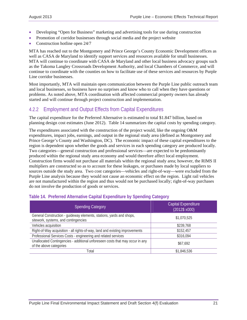- Developing "Open for Business" marketing and advertising tools for use during construction
- Promotion of corridor businesses through social media and the project website
- Construction hotline open 24/7

MTA has reached out to the Montgomery and Prince George's County Economic Development offices as well as CASA de Maryland to identify support services and resources available for small businesses. MTA will continue to coordinate with CASA de Maryland and other local business advocacy groups such as the Takoma Langley Crossroads Development Authority, and local Chambers of Commerce, and will continue to coordinate with the counties on how to facilitate use of these services and resources by Purple Line corridor businesses.

Most importantly, MTA will maintain open communication between the Purple Line public outreach team and local businesses, so business have no surprises and know who to call when they have questions or problems. As noted above, MTA coordination with affected commercial property owners has already started and will continue through project construction and implementation.

## 4.2.2 Employment and Output Effects from Capital Expenditures

The capital expenditure for the Preferred Alternative is estimated to total \$1.847 billion, based on planning design cost estimates (June 2012). Table 14 summarizes the capital costs by spending category.

The expenditures associated with the construction of the project would, like the ongoing O&M expenditures, impact jobs, earnings, and output in the regional study area (defined as Montgomery and Prince George's County and Washington, DC). The economic impact of these capital expenditures to the region is dependent upon whether the goods and services in each spending category are produced locally. Two categories—general construction and professional services—are expected to be predominantly produced within the regional study area economy and would therefore affect local employment. Construction firms would not purchase all materials within the regional study area; however, the RIMS II multipliers are constructed so as to account for these leakages, or purchases made by local suppliers to sources outside the study area. Two cost categories—vehicles and right-of-way—were excluded from the Purple Line analysis because they would not cause an economic effect on the region. Light rail vehicles are not manufactured within the region and thus would not be purchased locally; right-of-way purchases do not involve the production of goods or services.

| <b>Spending Category</b>                                                                                     | <b>Capital Expenditure</b><br>$(2012$ \$ x000) |
|--------------------------------------------------------------------------------------------------------------|------------------------------------------------|
| General Construction - guideway elements, stations, yards and shops,<br>sitework, systems, and contingencies | \$1,070,525                                    |
| Vehicles acquisition                                                                                         | \$239,768                                      |
| Right-of-Way acquisition - all rights-of-way, land and existing improvements                                 | \$152,457                                      |
| Professional Services Costs - engineering and related services                                               | \$316,094                                      |
| Unallocated Contingencies - additional unforeseen costs that may occur in any<br>of the above categories     | \$67,692                                       |
| Total                                                                                                        | \$1,846,536                                    |

#### **Table 14. Preferred Alternative Capital Expenditure by Spending Category**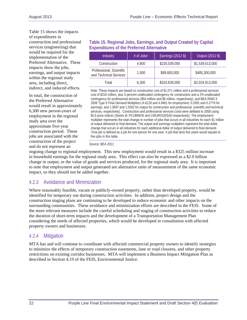Table 15 shows the impacts of expenditures in construction and professional services (engineering) that would be required for the implementation of the Preferred Alternative. These impacts show the jobs, earnings, and output impacts within the regional study area, including direct, indirect, and induced effects.

In total, the construction of the Preferred Alternative would result in approximately 6,300 new person-years of employment in the regional study area over the approximate five-year construction period. These jobs are associated with the construction of the project and do not represent an

#### **Table 15. Regional Jobs, Earnings, and Output Created by Capital Expenditures of the Preferred Alternative**

| Industry                                           | # of $Jobs1$ | Earnings (2012 \$) | Output (2012 \$) |
|----------------------------------------------------|--------------|--------------------|------------------|
| Construction                                       | 4,800        | \$235,039,000      | \$1,539,613,000  |
| Professional, Scientific<br>and Technical Services | 1,500        | \$89,600,000       | \$485,300,000    |
| Total                                              | 6,300        | \$324,639,000      | \$2,024,913,000  |

Note: These impacts are based on construction cost of \$1,071 million and a professional services cost of \$316 million, plus 5 percent unallocated contingency for construction and a 2% unallocated contingency for professional services (\$54 million and \$6 million, respectively), and BEA RIMS II 2008 Type II Final Demand Multipliers (4.6128 and 4.9461 for employment; 0.2091 and 0.2779 for earnings; and 1.3697 and 1.5052 for output for construction and professional, scientific and technical services, respectively). Construction and professional services costs were deflated to 2008 using BLS price indices (Series id: PCUBNEW and CWUR0100SA0 respectively). The employment multiplier represents the total change in number of jobs that occurs in all industries for each \$1 million of output delivered to final demand. The output and earnings multipliers represent the total dollar change that occurs in all industries for each additional dollar of output delivered to final demand. 1One job is defined as a job for one person for one year. A job that lasts five years would equate to five jobs in this table.

#### *Source: BEA 2011*

ongoing change to regional employment. This new employment would result in a \$325 million increase in household earnings for the regional study area. This effect can also be expressed as a \$2.0 billion change in output, or the value of goods and services produced, for the regional study area. It is important to note that employment and output generated are alternative units of measurement of the same economic impact, so they should not be added together.

## 4.2.3 Avoidance and Minimization

Where reasonably feasible, vacant or publicly-owned property, rather than developed property, would be identified for temporary use during construction activities. In addition, project design and the construction staging plans are continuing to be developed to reduce economic and other impacts on the surrounding communities. These avoidance and minimization efforts are described in the FEIS. Some of the more relevant measures include the careful scheduling and staging of construction activities to reduce the duration of short-term impacts and the development of a Transportation Management Plan considering the needs of affected properties, which would be developed in consultation with affected property owners and businesses.

## 4.2.4 Mitigation

MTA has and will continue to coordinate with affected commercial property owners to identify strategies to minimize the effects of temporary construction easements, lane or road closures, and other property restrictions on existing corridor businesses. MTA will implement a Business Impact Mitigation Plan as described in Section 4.19 of the FEIS, Environmental Justice.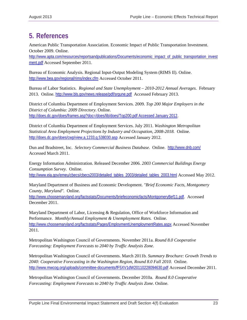## **5. References**

American Public Transportation Association. Economic Impact of Public Transportation Investment. October 2009. Online.

http://www.apta.com/resources/reportsandpublications/Documents/economic\_impact\_of\_public\_transportation\_invest ment.pdf Accessed September 2011.

Bureau of Economic Analysis. Regional Input-Output Modeling System (RIMS II). Online. http://www.bea.gov/regional/rims/index.cfm Accessed October 2011.

Bureau of Labor Statistics. *Regional and State Unemployment – 2010-2012 Annual Averages*. February 2013. Online. http://www.bls.gov/news.release/pdf/srgune.pdf Accessed February 2013.

District of Columbia Department of Employment Services. 2009. *Top 200 Major Employers in the District of Columbia: 2009 Directory.* Online. http://does.dc.gov/does/frames.asp?doc=/does/lib/does/Top200.pdf Accessed January 2012.

District of Columbia Department of Employment Services. July 2011. *Washington Metropolitan Statistical Area Employment Projections by Industry and Occupation, 2008-2018.* Online. http://does.dc.gov/does/cwp/view,a,1233,q,538030.asp Accessed January 2012.

Dun and Bradstreet, Inc. *Selectory Commercial Business Database*. Online. http://www.dnb.com/ Accessed March 2011.

Energy Information Administration. Released December 2006. *2003 Commercial Buildings Energy Consumption Survey.* Online. http://www.eia.gov/emeu/cbecs/cbecs2003/detailed\_tables\_2003/detailed\_tables\_2003.html Accessed May 2012.

Maryland Department of Business and Economic Development. *"Brief Economic Facts, Montgomery County, Maryland".* Online.

http://www.choosemaryland.org/factsstats/Documents/briefeconomicfacts/MontgomeryBef11.pdf. Accessed December 2011.

Maryland Department of Labor, Licensing & Regulation, Office of Workforce Information and Performance. *Monthly/Annual Employment & Unemployment Rates.* Online. http://www.choosemaryland.org/factsstats/Pages/EmploymentUnemploymentRates.aspx Accessed November 2011.

Metropolitan Washington Council of Governments. November 2011a. *Round 8.0 Cooperative Forecasting: Employment Forecasts to 2040 by Traffic Analysis Zone.*

Metropolitan Washington Council of Governments. March 2011b. *Summary Brochure: Growth Trends to 2040: Cooperative Forecasting in the Washington Region, Round 8.0 Fall 2010.* Online. http://www.mwcog.org/uploads/committee-documents/fF5XV1dW20110228094630.pdf Accessed December 2011.

Metropolitan Washington Council of Governments. December 2010a. *Round 8.0 Cooperative Forecasting: Employment Forecasts to 2040 by Traffic Analysis Zone.* Online.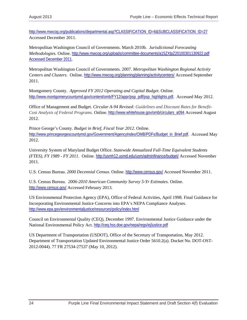http://www.mwcog.org/publications/departmental.asp?CLASSIFICATION\_ID=6&SUBCLASSIFICATION\_ID=27 Accessed December 2011.

Metropolitan Washington Council of Governments. March 2010b. *Jurisdictional Forecasting Methodologies.* Online. http://www.mwcog.org/uploads/committee-documents/a15ZXlpZ20100301130922.pdf Accessed December 2011.

Metropolitan Washington Council of Governments. 2007. *Metropolitan Washington Regional Activity Centers and Clusters*. Online. http://www.mwcog.org/planning/planning/activitycenters/ Accessed September 2011.

Montgomery County. *Approved FY 2012 Operating and Capital Budget*. Online. http://www.montgomerycountymd.gov/content/omb/FY12/appr/psp\_pdf/psp\_highlights.pdf. Accessed May 2012.

Office of Management and Budget. *Circular A-94 Revised: Guidelines and Discount Rates for Benefit-Cost Analysis of Federal Programs.* Online. http://www.whitehouse.gov/omb/circulars\_a094 Accessed August 2012.

Prince George's County. *Budget in Brief, Fiscal Year 2012*. Online. http://www.princegeorgescountymd.gov/Government/AgencyIndex/OMB/PDFs/Budget\_in\_Brief.pdf. Accessed May 2012.

University System of Maryland Budget Office. *Statewide Annualized Full-Time Equivalent Students (FTES), FY 1989 - FY 2011.* Online. http://usmh12.usmd.edu/usm/adminfinance/budget/ Accessed November 2011.

U.S. Census Bureau. *2000 Decennial Census*. Online. http://www.census.gov/ Accessed November 2011.

U.S. Census Bureau. *2006-2010 American Community Survey 5-Yr Estimates*. Online. http://www.census.gov/ Accessed February 2013.

US Environmental Protection Agency (EPA), Office of Federal Activities, April 1998. Final Guidance for Incorporating Environmental Justice Concerns into EPA's NEPA Compliance Analyses. http://www.epa.gov/environmentaljustice/resources/policy/index.html

Council on Environmental Quality (CEQ), December 1997. Environmental Justice Guidance under the National Environmental Policy Act. http://ceq.hss.doe.gov/nepa/regs/ej/justice.pdf

US Department of Transportation (USDOT), Office of the Secretary of Transportation, May 2012. Department of Transportation Updated Environmental Justice Order 5610.2(a). Docket No. DOT-OST-2012-0044). 77 FR 27534-27537 (May 10, 2012).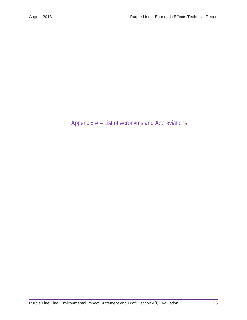## Appendix A – List of Acronyms and Abbreviations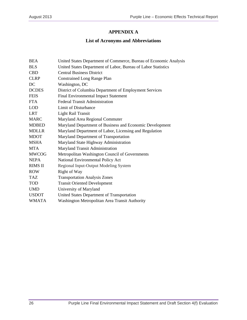### **APPENDIX A**

## **List of Acronyms and Abbreviations**

| <b>BEA</b>     | United States Department of Commerce, Bureau of Economic Analysis |
|----------------|-------------------------------------------------------------------|
| <b>BLS</b>     | United States Department of Labor, Bureau of Labor Statistics     |
| <b>CBD</b>     | <b>Central Business District</b>                                  |
| <b>CLRP</b>    | <b>Constrained Long Range Plan</b>                                |
| DC             | Washington, DC                                                    |
| <b>DCDES</b>   | District of Columbia Department of Employment Services            |
| <b>FEIS</b>    | <b>Final Environmental Impact Statement</b>                       |
| <b>FTA</b>     | <b>Federal Transit Administration</b>                             |
| <b>LOD</b>     | Limit of Disturbance                                              |
| <b>LRT</b>     | <b>Light Rail Transit</b>                                         |
| <b>MARC</b>    | Maryland Area Regional Commuter                                   |
| <b>MDBED</b>   | Maryland Department of Business and Economic Development          |
| <b>MDLLR</b>   | Maryland Department of Labor, Licensing and Regulation            |
| <b>MDOT</b>    | Maryland Department of Transportation                             |
| <b>MSHA</b>    | Maryland State Highway Administration                             |
| <b>MTA</b>     | Maryland Transit Administration                                   |
| <b>MWCOG</b>   | Metropolitan Washington Council of Governments                    |
| <b>NEPA</b>    | National Environmental Policy Act                                 |
| <b>RIMS II</b> | Regional Input-Output Modeling System                             |
| <b>ROW</b>     | Right of Way                                                      |
| TAZ.           | <b>Transportation Analysis Zones</b>                              |
| <b>TOD</b>     | <b>Transit Oriented Development</b>                               |
| <b>UMD</b>     | University of Maryland                                            |
| <b>USDOT</b>   | United States Department of Transportation                        |
| <b>WMATA</b>   | Washington Metropolitan Area Transit Authority                    |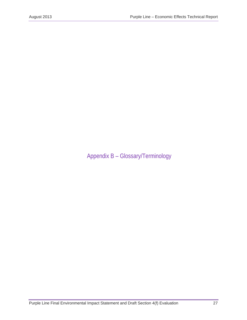Appendix B – Glossary/Terminology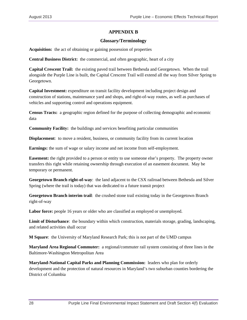#### **APPENDIX B**

#### **Glossary/Terminology**

**Acquisition:** the act of obtaining or gaining possession of properties

**Central Business District:** the commercial, and often geographic, heart of a city

**Capital Crescent Trail:** the existing paved trail between Bethesda and Georgetown. When the trail alongside the Purple Line is built, the Capital Crescent Trail will extend all the way from Silver Spring to Georgetown.

**Capital Investment:** expenditure on transit facility development including project design and construction of stations, maintenance yard and shops, and right-of-way routes, as well as purchases of vehicles and supporting control and operations equipment.

**Census Tracts:** a geographic region defined for the purpose of collecting demographic and economic data

**Community Facility:** the buildings and services benefiting particular communities

**Displacement**: to move a resident, business, or community facility from its current location

**Earnings:** the sum of wage or salary income and net income from self-employment.

**Easement:** the right provided to a person or entity to use someone else's property. The property owner transfers this right while retaining ownership through execution of an easement document. May be temporary or permanent.

**Georgetown Branch right-of-way**: the land adjacent to the CSX railroad between Bethesda and Silver Spring (where the trail is today) that was dedicated to a future transit project

**Georgetown Branch interim trail**: the crushed stone trail existing today in the Georgetown Branch right-of-way

Labor force: people 16 years or older who are classified as employed or unemployed.

**Limit of Disturbance**: the boundary within which construction, materials storage, grading, landscaping, and related activities shall occur

**M Square**: the University of Maryland Research Park; this is not part of the UMD campus

**Maryland Area Regional Commuter:** a regional/commuter rail system consisting of three lines in the Baltimore-Washington Metropolitan Area

**Maryland-National Capital Parks and Planning Commission:** leaders who plan for orderly development and the protection of natural resources in Maryland's two suburban counties bordering the District of Columbia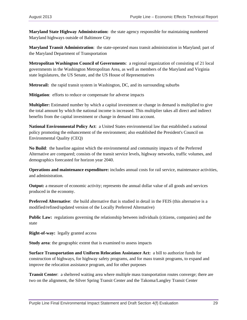**Maryland State Highway Administration:** the state agency responsible for maintaining numbered Maryland highways outside of Baltimore City

**Maryland Transit Administration**: the state-operated mass transit administration in Maryland; part of the Maryland Department of Transportation

**Metropolitan Washington Council of Governments**: a regional organization of consisting of 21 local governments in the Washington Metropolitan Area, as well as members of the Maryland and Virginia state legislatures, the US Senate, and the US House of Representatives

**Metrorail:** the rapid transit system in Washington, DC, and its surrounding suburbs

**Mitigation**: efforts to reduce or compensate for adverse impacts

**Multiplier:** Estimated number by which a capital investment or change in demand is multiplied to give the total amount by which the national income is increased. This multiplier takes all direct and indirect benefits from the capital investment or change in demand into account.

**National Environmental Policy Act**: a United States environmental law that established a national policy promoting the enhancement of the environment; also established the President's Council on Environmental Quality (CEQ)

**No Build**: the baseline against which the environmental and community impacts of the Preferred Alternative are compared; consists of the transit service levels, highway networks, traffic volumes, and demographics forecasted for horizon year 2040.

**Operations and maintenance expenditure:** includes annual costs for rail service, maintenance activities, and administration.

**Output:** a measure of economic activity; represents the annual dollar value of all goods and services produced in the economy.

**Preferred Alternative**: the build alternative that is studied in detail in the FEIS (this alternative is a modified/refined/updated version of the Locally Preferred Alternative)

**Public Law:** regulations governing the relationship between individuals (citizens, companies) and the state

**Right-of-way:** legally granted access

**Study area**: the geographic extent that is examined to assess impacts

**Surface Transportation and Uniform Relocation Assistance Act:** a bill to authorize funds for construction of highways, for highway safety programs, and for mass transit programs, to expand and improve the relocation assistance program, and for other purposes

**Transit Center**: a sheltered waiting area where multiple mass transportation routes converge; there are two on the alignment, the Silver Spring Transit Center and the Takoma/Langley Transit Center